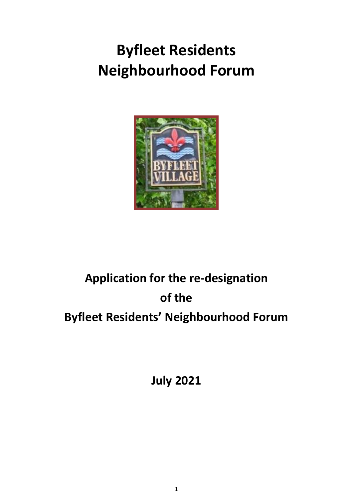# **Byfleet Residents Neighbourhood Forum**



## **Application for the re-designation of the Byfleet Residents' Neighbourhood Forum**

**July 2021**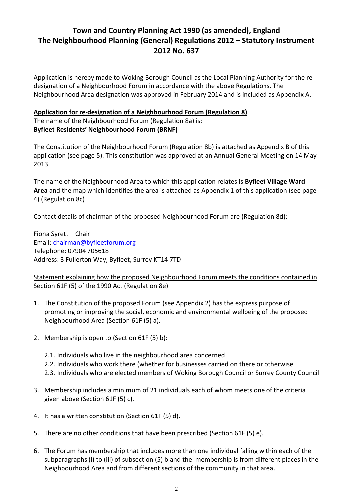### **Town and Country Planning Act 1990 (as amended), England The Neighbourhood Planning (General) Regulations 2012 – Statutory Instrument 2012 No. 637**

Application is hereby made to Woking Borough Council as the Local Planning Authority for the redesignation of a Neighbourhood Forum in accordance with the above Regulations. The Neighbourhood Area designation was approved in February 2014 and is included as Appendix A.

### **Application for re-designation of a Neighbourhood Forum (Regulation 8)** The name of the Neighbourhood Forum (Regulation 8a) is: **Byfleet Residents' Neighbourhood Forum (BRNF)**

The Constitution of the Neighbourhood Forum (Regulation 8b) is attached as Appendix B of this application (see page 5). This constitution was approved at an Annual General Meeting on 14 May 2013.

The name of the Neighbourhood Area to which this application relates is **Byfleet Village Ward Area** and the map which identifies the area is attached as Appendix 1 of this application (see page 4) (Regulation 8c)

Contact details of chairman of the proposed Neighbourhood Forum are (Regulation 8d):

Fiona Syrett – Chair Email: [chairman@byfleetforum.org](mailto:chairman@byfleetforum.org) Telephone: 07904 705618 Address: 3 Fullerton Way, Byfleet, Surrey KT14 7TD

### Statement explaining how the proposed Neighbourhood Forum meets the conditions contained in Section 61F (5) of the 1990 Act (Regulation 8e)

- 1. The Constitution of the proposed Forum (see Appendix 2) has the express purpose of promoting or improving the social, economic and environmental wellbeing of the proposed Neighbourhood Area (Section 61F (5) a).
- 2. Membership is open to (Section 61F (5) b):
	- 2.1. Individuals who live in the neighbourhood area concerned
	- 2.2. Individuals who work there (whether for businesses carried on there or otherwise
	- 2.3. Individuals who are elected members of Woking Borough Council or Surrey County Council
- 3. Membership includes a minimum of 21 individuals each of whom meets one of the criteria given above (Section 61F (5) c).
- 4. It has a written constitution (Section 61F (5) d).
- 5. There are no other conditions that have been prescribed (Section 61F (5) e).
- 6. The Forum has membership that includes more than one individual falling within each of the subparagraphs (i) to (iii) of subsection (5) b and the membership is from different places in the Neighbourhood Area and from different sections of the community in that area.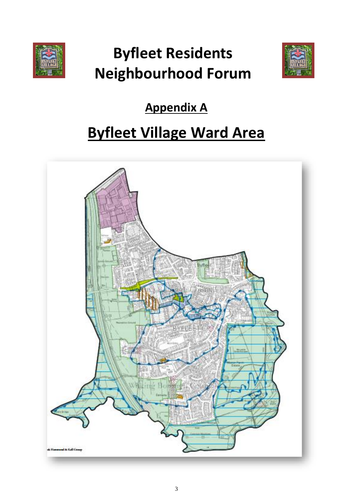

# **Byfleet Residents Neighbourhood Forum**



### **Appendix A**

### **Byfleet Village Ward Area**

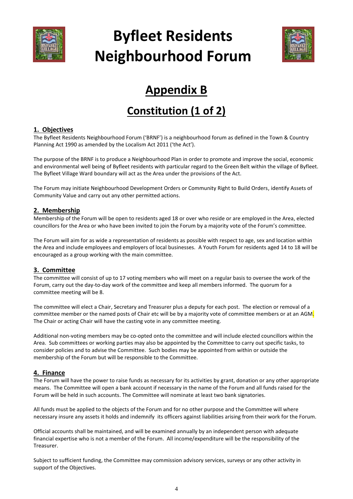

## **Byfleet Residents Neighbourhood Forum**



### **Appendix B**

### **Constitution (1 of 2)**

### **1. Objectives**

The Byfleet Residents Neighbourhood Forum ('BRNF') is a neighbourhood forum as defined in the Town & Country Planning Act 1990 as amended by the Localism Act 2011 ('the Act').

The purpose of the BRNF is to produce a Neighbourhood Plan in order to promote and improve the social, economic and environmental well being of Byfleet residents with particular regard to the Green Belt within the village of Byfleet. The Byfleet Village Ward boundary will act as the Area under the provisions of the Act.

The Forum may initiate Neighbourhood Development Orders or Community Right to Build Orders, identify Assets of Community Value and carry out any other permitted actions.

### **2. Membership**

Membership of the Forum will be open to residents aged 18 or over who reside or are employed in the Area, elected councillors for the Area or who have been invited to join the Forum by a majority vote of the Forum's committee.

The Forum will aim for as wide a representation of residents as possible with respect to age, sex and location within the Area and include employees and employers of local businesses. A Youth Forum for residents aged 14 to 18 will be encouraged as a group working with the main committee.

### **3. Committee**

The committee will consist of up to 17 voting members who will meet on a regular basis to oversee the work of the Forum, carry out the day-to-day work of the committee and keep all members informed. The quorum for a committee meeting will be 8.

The committee will elect a Chair, Secretary and Treasurer plus a deputy for each post. The election or removal of a committee member or the named posts of Chair etc will be by a majority vote of committee members or at an AGM. The Chair or acting Chair will have the casting vote in any committee meeting.

Additional non-voting members may be co-opted onto the committee and will include elected councillors within the Area. Sub committees or working parties may also be appointed by the Committee to carry out specific tasks, to consider policies and to advise the Committee. Such bodies may be appointed from within or outside the membership of the Forum but will be responsible to the Committee.

### **4. Finance**

The Forum will have the power to raise funds as necessary for its activities by grant, donation or any other appropriate means. The Committee will open a bank account if necessary in the name of the Forum and all funds raised for the Forum will be held in such accounts. The Committee will nominate at least two bank signatories.

All funds must be applied to the objects of the Forum and for no other purpose and the Committee will where necessary insure any assets it holds and indemnify its officers against liabilities arising from their work for the Forum.

Official accounts shall be maintained, and will be examined annually by an independent person with adequate financial expertise who is not a member of the Forum. All income/expenditure will be the responsibility of the Treasurer.

Subject to sufficient funding, the Committee may commission advisory services, surveys or any other activity in support of the Objectives.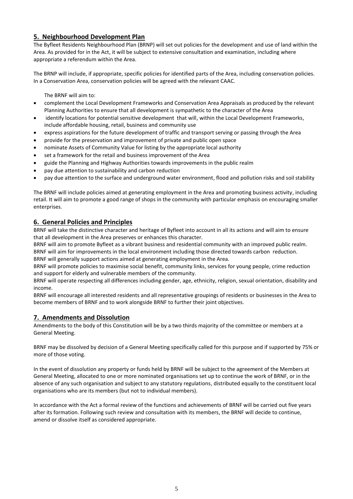### **5. Neighbourhood Development Plan**

The Byfleet Residents Neighbourhood Plan (BRNP) will set out policies for the development and use of land within the Area. As provided for in the Act, it will be subject to extensive consultation and examination, including where appropriate a referendum within the Area.

The BRNP will include, if appropriate, specific policies for identified parts of the Area, including conservation policies. In a Conservation Area, conservation policies will be agreed with the relevant CAAC.

The BRNF will aim to:

- complement the Local Development Frameworks and Conservation Area Appraisals as produced by the relevant Planning Authorities to ensure that all development is sympathetic to the character of the Area
- identify locations for potential sensitive development that will, within the Local Development Frameworks, include affordable housing, retail, business and community use
- express aspirations for the future development of traffic and transport serving or passing through the Area
- provide for the preservation and improvement of private and public open space
- nominate Assets of Community Value for listing by the appropriate local authority
- set a framework for the retail and business improvement of the Area
- guide the Planning and Highway Authorities towards improvements in the public realm
- pay due attention to sustainability and carbon reduction
- pay due attention to the surface and underground water environment, flood and pollution risks and soil stability

The BRNF will include policies aimed at generating employment in the Area and promoting business activity, including retail. It will aim to promote a good range of shops in the community with particular emphasis on encouraging smaller enterprises.

#### **6. General Policies and Principles**

BRNF will take the distinctive character and heritage of Byfleet into account in all its actions and will aim to ensure that all development in the Area preserves or enhances this character.

BRNF will aim to promote Byfleet as a vibrant business and residential community with an improved public realm. BRNF will aim for improvements in the local environment including those directed towards carbon reduction.

BRNF will generally support actions aimed at generating employment in the Area.

BRNF will promote policies to maximise social benefit, community links, services for young people, crime reduction and support for elderly and vulnerable members of the community.

BRNF will operate respecting all differences including gender, age, ethnicity, religion, sexual orientation, disability and income.

BRNF will encourage all interested residents and all representative groupings of residents or businesses in the Area to become members of BRNF and to work alongside BRNF to further their joint objectives.

#### **7. Amendments and Dissolution**

Amendments to the body of this Constitution will be by a two thirds majority of the committee or members at a General Meeting.

BRNF may be dissolved by decision of a General Meeting specifically called for this purpose and if supported by 75% or more of those voting.

In the event of dissolution any property or funds held by BRNF will be subject to the agreement of the Members at General Meeting, allocated to one or more nominated organisations set up to continue the work of BRNF, or in the absence of any such organisation and subject to any statutory regulations, distributed equally to the constituent local organisations who are its members (but not to individual members).

In accordance with the Act a formal review of the functions and achievements of BRNF will be carried out five years after its formation. Following such review and consultation with its members, the BRNF will decide to continue, amend or dissolve itself as considered appropriate.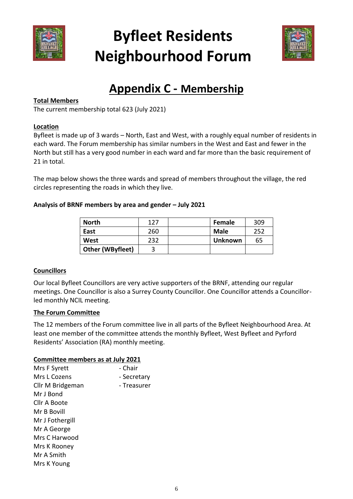

## **Byfleet Residents Neighbourhood Forum**



### **Appendix C - Membership**

### **Total Members**

The current membership total 623 (July 2021)

### **Location**

Byfleet is made up of 3 wards – North, East and West, with a roughly equal number of residents in each ward. The Forum membership has similar numbers in the West and East and fewer in the North but still has a very good number in each ward and far more than the basic requirement of 21 in total.

The map below shows the three wards and spread of members throughout the village, the red circles representing the roads in which they live.

### **Analysis of BRNF members by area and gender – July 2021**

| <b>North</b>            | 177 | Female         | 309 |
|-------------------------|-----|----------------|-----|
| East                    | 260 | <b>Male</b>    | 252 |
| West                    | 232 | <b>Unknown</b> | 65  |
| <b>Other (WByfleet)</b> |     |                |     |

### **Councillors**

Our local Byfleet Councillors are very active supporters of the BRNF, attending our regular meetings. One Councillor is also a Surrey County Councillor. One Councillor attends a Councillorled monthly NCIL meeting.

### **The Forum Committee**

The 12 members of the Forum committee live in all parts of the Byfleet Neighbourhood Area. At least one member of the committee attends the monthly Byfleet, West Byfleet and Pyrford Residents' Association (RA) monthly meeting.

### **Committee members as at July 2021**

| - Chair     |
|-------------|
| - Secretary |
| - Treasurer |
|             |
|             |
|             |
|             |
|             |
|             |
|             |
|             |
|             |
|             |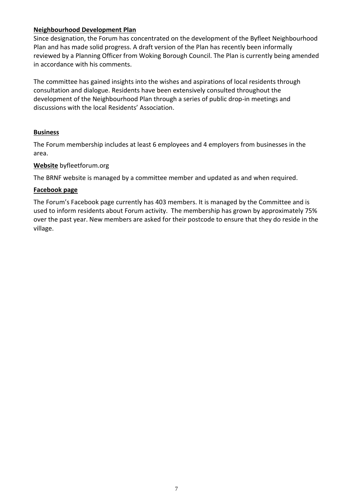### **Neighbourhood Development Plan**

Since designation, the Forum has concentrated on the development of the Byfleet Neighbourhood Plan and has made solid progress. A draft version of the Plan has recently been informally reviewed by a Planning Officer from Woking Borough Council. The Plan is currently being amended in accordance with his comments.

The committee has gained insights into the wishes and aspirations of local residents through consultation and dialogue. Residents have been extensively consulted throughout the development of the Neighbourhood Plan through a series of public drop-in meetings and discussions with the local Residents' Association.

### **Business**

The Forum membership includes at least 6 employees and 4 employers from businesses in the area.

### **Website** byfleetforum.org

The BRNF website is managed by a committee member and updated as and when required.

### **Facebook page**

The Forum's Facebook page currently has 403 members. It is managed by the Committee and is used to inform residents about Forum activity. The membership has grown by approximately 75% over the past year. New members are asked for their postcode to ensure that they do reside in the village.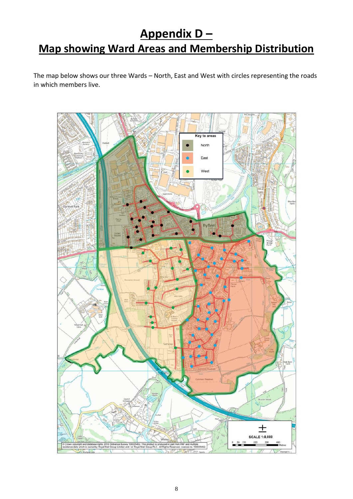# **Appendix D –**

### **Map showing Ward Areas and Membership Distribution**

The map below shows our three Wards – North, East and West with circles representing the roads in which members live.